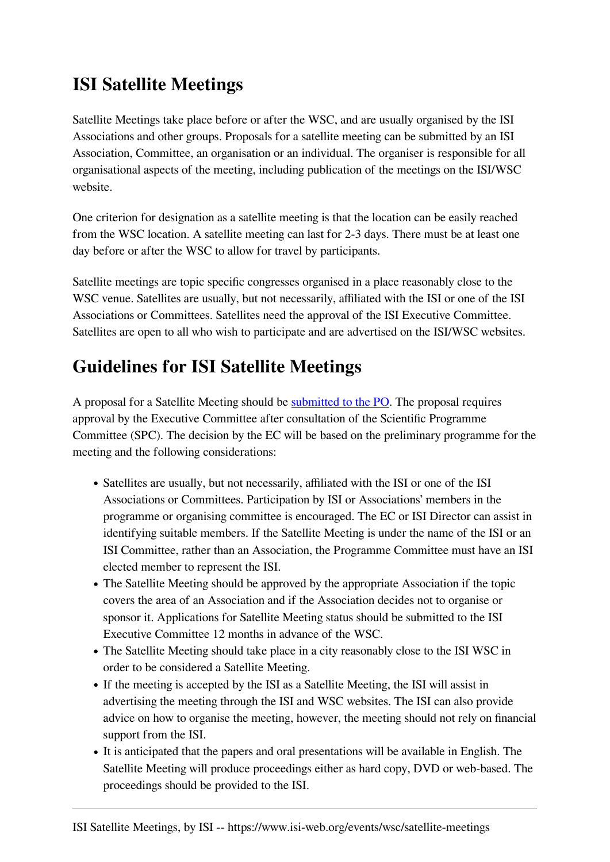## **ISI Satellite Meetings**

Satellite Meetings take place before or after the WSC, and are usually organised by the ISI Associations and other groups. Proposals for a satellite meeting can be submitted by an ISI Association, Committee, an organisation or an individual. The organiser is responsible for all organisational aspects of the meeting, including publication of the meetings on the ISI/WSC website.

One criterion for designation as a satellite meeting is that the location can be easily reached from the WSC location. A satellite meeting can last for 2-3 days. There must be at least one day before or after the WSC to allow for travel by participants.

Satellite meetings are topic specific congresses organised in a place reasonably close to the WSC venue. Satellites are usually, but not necessarily, affiliated with the ISI or one of the ISI Associations or Committees. Satellites need the approval of the ISI Executive Committee. Satellites are open to all who wish to participate and are advertised on the ISI/WSC websites.

## **Guidelines for ISI Satellite Meetings**

A proposal for a Satellite Meeting should be [submitted to the PO](https://www.isi-web.org/node/1001). The proposal requires approval by the Executive Committee after consultation of the Scientific Programme Committee (SPC). The decision by the EC will be based on the preliminary programme for the meeting and the following considerations:

- Satellites are usually, but not necessarily, affiliated with the ISI or one of the ISI Associations or Committees. Participation by ISI or Associations' members in the programme or organising committee is encouraged. The EC or ISI Director can assist in identifying suitable members. If the Satellite Meeting is under the name of the ISI or an ISI Committee, rather than an Association, the Programme Committee must have an ISI elected member to represent the ISI.
- The Satellite Meeting should be approved by the appropriate Association if the topic covers the area of an Association and if the Association decides not to organise or sponsor it. Applications for Satellite Meeting status should be submitted to the ISI Executive Committee 12 months in advance of the WSC.
- The Satellite Meeting should take place in a city reasonably close to the ISI WSC in order to be considered a Satellite Meeting.
- If the meeting is accepted by the ISI as a Satellite Meeting, the ISI will assist in advertising the meeting through the ISI and WSC websites. The ISI can also provide advice on how to organise the meeting, however, the meeting should not rely on financial support from the ISI.
- It is anticipated that the papers and oral presentations will be available in English. The Satellite Meeting will produce proceedings either as hard copy, DVD or web-based. The proceedings should be provided to the ISI.